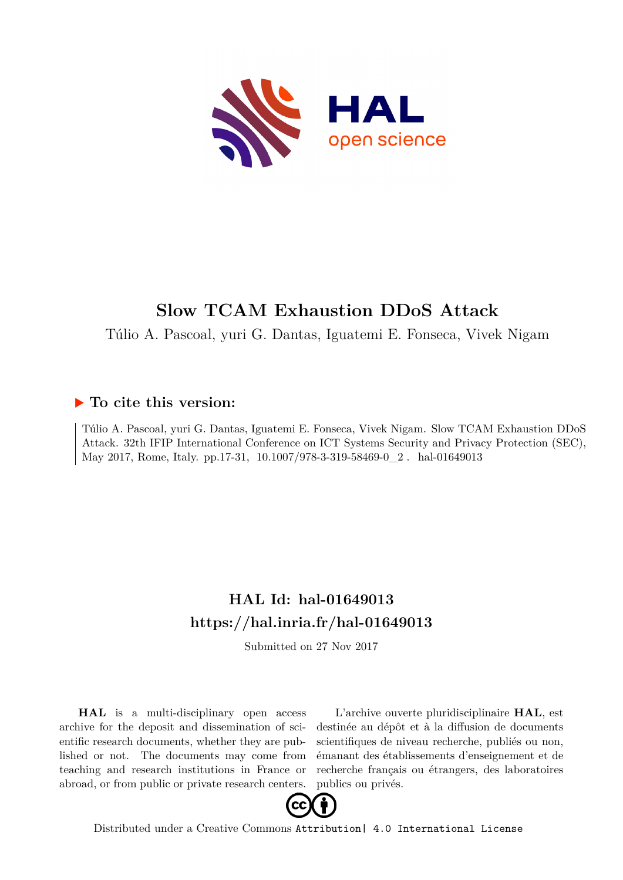

# **Slow TCAM Exhaustion DDoS Attack**

Túlio A. Pascoal, yuri G. Dantas, Iguatemi E. Fonseca, Vivek Nigam

# **To cite this version:**

Túlio A. Pascoal, yuri G. Dantas, Iguatemi E. Fonseca, Vivek Nigam. Slow TCAM Exhaustion DDoS Attack. 32th IFIP International Conference on ICT Systems Security and Privacy Protection (SEC), May 2017, Rome, Italy. pp.17-31, 10.1007/978-3-319-58469-0 2. hal-01649013

# **HAL Id: hal-01649013 <https://hal.inria.fr/hal-01649013>**

Submitted on 27 Nov 2017

**HAL** is a multi-disciplinary open access archive for the deposit and dissemination of scientific research documents, whether they are published or not. The documents may come from teaching and research institutions in France or abroad, or from public or private research centers.

L'archive ouverte pluridisciplinaire **HAL**, est destinée au dépôt et à la diffusion de documents scientifiques de niveau recherche, publiés ou non, émanant des établissements d'enseignement et de recherche français ou étrangers, des laboratoires publics ou privés.



Distributed under a Creative Commons [Attribution| 4.0 International License](http://creativecommons.org/licenses/by/4.0/)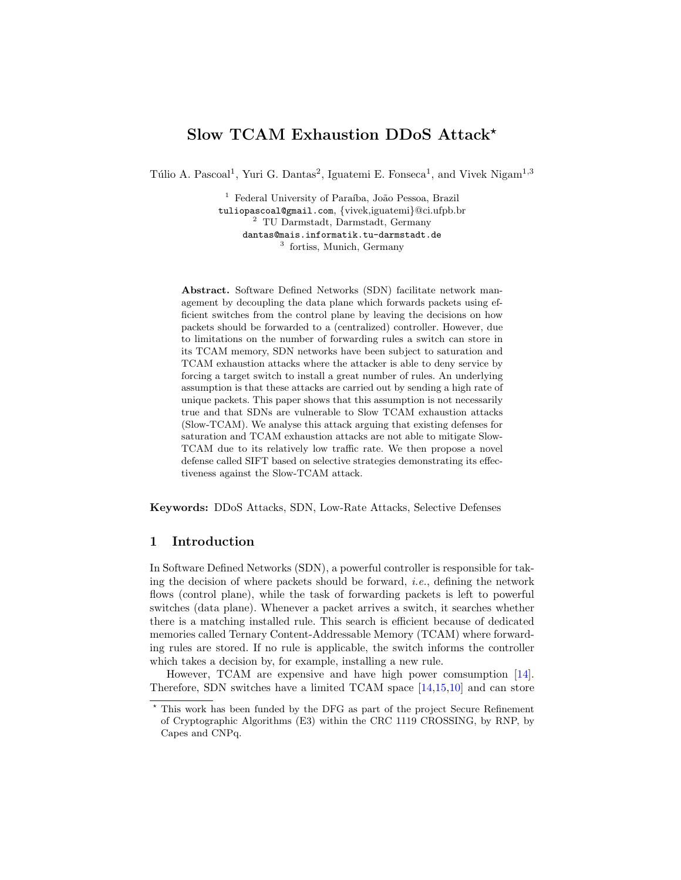# Slow TCAM Exhaustion DDoS Attack?

Túlio A. Pascoal<sup>1</sup>, Yuri G. Dantas<sup>2</sup>, Iguatemi E. Fonseca<sup>1</sup>, and Vivek Nigam<sup>1,3</sup>

<sup>1</sup> Federal University of Paraíba, João Pessoa, Brazil tuliopascoal@gmail.com, {vivek,iguatemi}@ci.ufpb.br <sup>2</sup> TU Darmstadt, Darmstadt, Germany dantas@mais.informatik.tu-darmstadt.de 3 fortiss, Munich, Germany

Abstract. Software Defined Networks (SDN) facilitate network management by decoupling the data plane which forwards packets using efficient switches from the control plane by leaving the decisions on how packets should be forwarded to a (centralized) controller. However, due to limitations on the number of forwarding rules a switch can store in its TCAM memory, SDN networks have been subject to saturation and TCAM exhaustion attacks where the attacker is able to deny service by forcing a target switch to install a great number of rules. An underlying assumption is that these attacks are carried out by sending a high rate of unique packets. This paper shows that this assumption is not necessarily true and that SDNs are vulnerable to Slow TCAM exhaustion attacks (Slow-TCAM). We analyse this attack arguing that existing defenses for saturation and TCAM exhaustion attacks are not able to mitigate Slow-TCAM due to its relatively low traffic rate. We then propose a novel defense called SIFT based on selective strategies demonstrating its effectiveness against the Slow-TCAM attack.

Keywords: DDoS Attacks, SDN, Low-Rate Attacks, Selective Defenses

### 1 Introduction

In Software Defined Networks (SDN), a powerful controller is responsible for taking the decision of where packets should be forward, i.e., defining the network flows (control plane), while the task of forwarding packets is left to powerful switches (data plane). Whenever a packet arrives a switch, it searches whether there is a matching installed rule. This search is efficient because of dedicated memories called Ternary Content-Addressable Memory (TCAM) where forwarding rules are stored. If no rule is applicable, the switch informs the controller which takes a decision by, for example, installing a new rule.

However, TCAM are expensive and have high power comsumption [14]. Therefore, SDN switches have a limited TCAM space [14,15,10] and can store

 $^{\star}$  This work has been funded by the DFG as part of the project Secure Refinement of Cryptographic Algorithms (E3) within the CRC 1119 CROSSING, by RNP, by Capes and CNPq.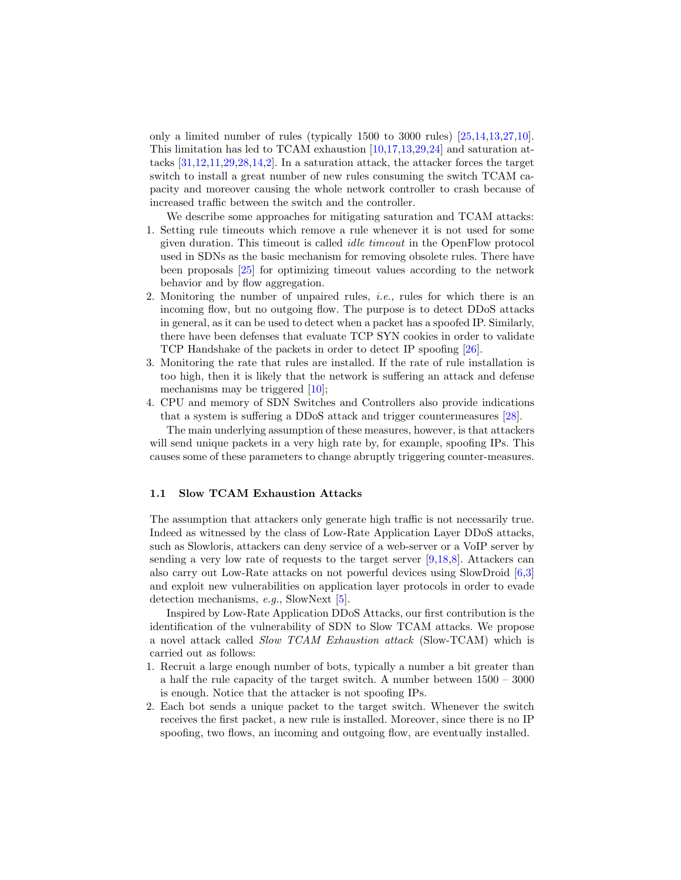only a limited number of rules (typically 1500 to 3000 rules) [25,14,13,27,10]. This limitation has led to TCAM exhaustion [10,17,13,29,24] and saturation attacks [31,12,11,29,28,14,2]. In a saturation attack, the attacker forces the target switch to install a great number of new rules consuming the switch TCAM capacity and moreover causing the whole network controller to crash because of increased traffic between the switch and the controller.

- We describe some approaches for mitigating saturation and TCAM attacks: 1. Setting rule timeouts which remove a rule whenever it is not used for some given duration. This timeout is called idle timeout in the OpenFlow protocol used in SDNs as the basic mechanism for removing obsolete rules. There have been proposals [25] for optimizing timeout values according to the network behavior and by flow aggregation.
- 2. Monitoring the number of unpaired rules, i.e., rules for which there is an incoming flow, but no outgoing flow. The purpose is to detect DDoS attacks in general, as it can be used to detect when a packet has a spoofed IP. Similarly, there have been defenses that evaluate TCP SYN cookies in order to validate TCP Handshake of the packets in order to detect IP spoofing [26].
- 3. Monitoring the rate that rules are installed. If the rate of rule installation is too high, then it is likely that the network is suffering an attack and defense mechanisms may be triggered [10];
- 4. CPU and memory of SDN Switches and Controllers also provide indications that a system is suffering a DDoS attack and trigger countermeasures [28].

The main underlying assumption of these measures, however, is that attackers will send unique packets in a very high rate by, for example, spoofing IPs. This causes some of these parameters to change abruptly triggering counter-measures.

#### 1.1 Slow TCAM Exhaustion Attacks

The assumption that attackers only generate high traffic is not necessarily true. Indeed as witnessed by the class of Low-Rate Application Layer DDoS attacks, such as Slowloris, attackers can deny service of a web-server or a VoIP server by sending a very low rate of requests to the target server [9,18,8]. Attackers can also carry out Low-Rate attacks on not powerful devices using SlowDroid [6,3] and exploit new vulnerabilities on application layer protocols in order to evade detection mechanisms, e.g., SlowNext [5].

Inspired by Low-Rate Application DDoS Attacks, our first contribution is the identification of the vulnerability of SDN to Slow TCAM attacks. We propose a novel attack called Slow TCAM Exhaustion attack (Slow-TCAM) which is carried out as follows:

- 1. Recruit a large enough number of bots, typically a number a bit greater than a half the rule capacity of the target switch. A number between 1500 – 3000 is enough. Notice that the attacker is not spoofing IPs.
- 2. Each bot sends a unique packet to the target switch. Whenever the switch receives the first packet, a new rule is installed. Moreover, since there is no IP spoofing, two flows, an incoming and outgoing flow, are eventually installed.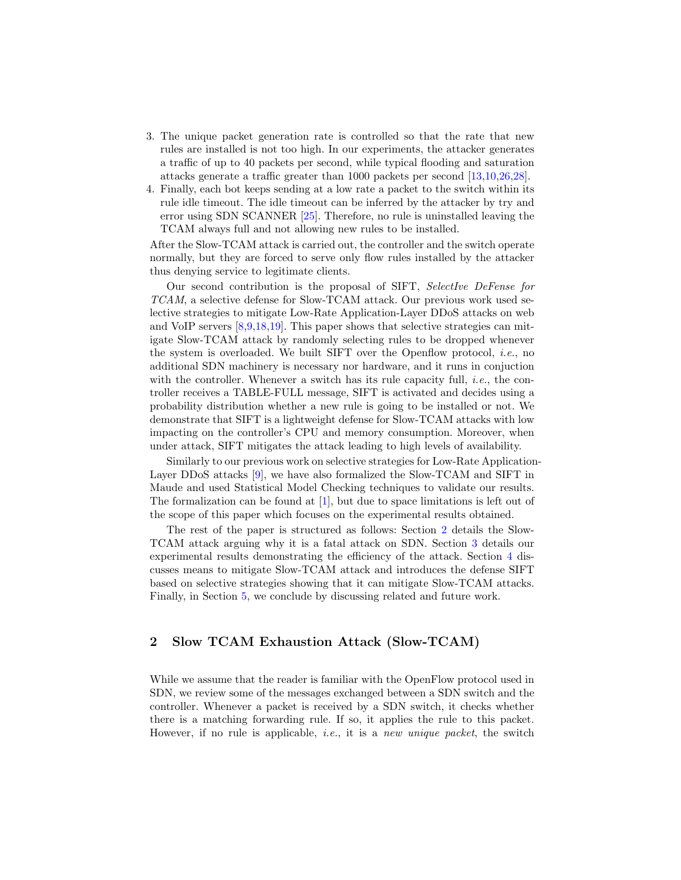- 3. The unique packet generation rate is controlled so that the rate that new rules are installed is not too high. In our experiments, the attacker generates a traffic of up to 40 packets per second, while typical flooding and saturation attacks generate a traffic greater than 1000 packets per second [13,10,26,28].
- 4. Finally, each bot keeps sending at a low rate a packet to the switch within its rule idle timeout. The idle timeout can be inferred by the attacker by try and error using SDN SCANNER [25]. Therefore, no rule is uninstalled leaving the TCAM always full and not allowing new rules to be installed.

After the Slow-TCAM attack is carried out, the controller and the switch operate normally, but they are forced to serve only flow rules installed by the attacker thus denying service to legitimate clients.

Our second contribution is the proposal of SIFT, SelectIve DeFense for TCAM, a selective defense for Slow-TCAM attack. Our previous work used selective strategies to mitigate Low-Rate Application-Layer DDoS attacks on web and VoIP servers [8,9,18,19]. This paper shows that selective strategies can mitigate Slow-TCAM attack by randomly selecting rules to be dropped whenever the system is overloaded. We built SIFT over the Openflow protocol, i.e., no additional SDN machinery is necessary nor hardware, and it runs in conjuction with the controller. Whenever a switch has its rule capacity full, *i.e.*, the controller receives a TABLE-FULL message, SIFT is activated and decides using a probability distribution whether a new rule is going to be installed or not. We demonstrate that SIFT is a lightweight defense for Slow-TCAM attacks with low impacting on the controller's CPU and memory consumption. Moreover, when under attack, SIFT mitigates the attack leading to high levels of availability.

Similarly to our previous work on selective strategies for Low-Rate Application-Layer DDoS attacks [9], we have also formalized the Slow-TCAM and SIFT in Maude and used Statistical Model Checking techniques to validate our results. The formalization can be found at [1], but due to space limitations is left out of the scope of this paper which focuses on the experimental results obtained.

The rest of the paper is structured as follows: Section 2 details the Slow-TCAM attack arguing why it is a fatal attack on SDN. Section 3 details our experimental results demonstrating the efficiency of the attack. Section 4 discusses means to mitigate Slow-TCAM attack and introduces the defense SIFT based on selective strategies showing that it can mitigate Slow-TCAM attacks. Finally, in Section 5, we conclude by discussing related and future work.

# 2 Slow TCAM Exhaustion Attack (Slow-TCAM)

While we assume that the reader is familiar with the OpenFlow protocol used in SDN, we review some of the messages exchanged between a SDN switch and the controller. Whenever a packet is received by a SDN switch, it checks whether there is a matching forwarding rule. If so, it applies the rule to this packet. However, if no rule is applicable, *i.e.*, it is a *new unique packet*, the switch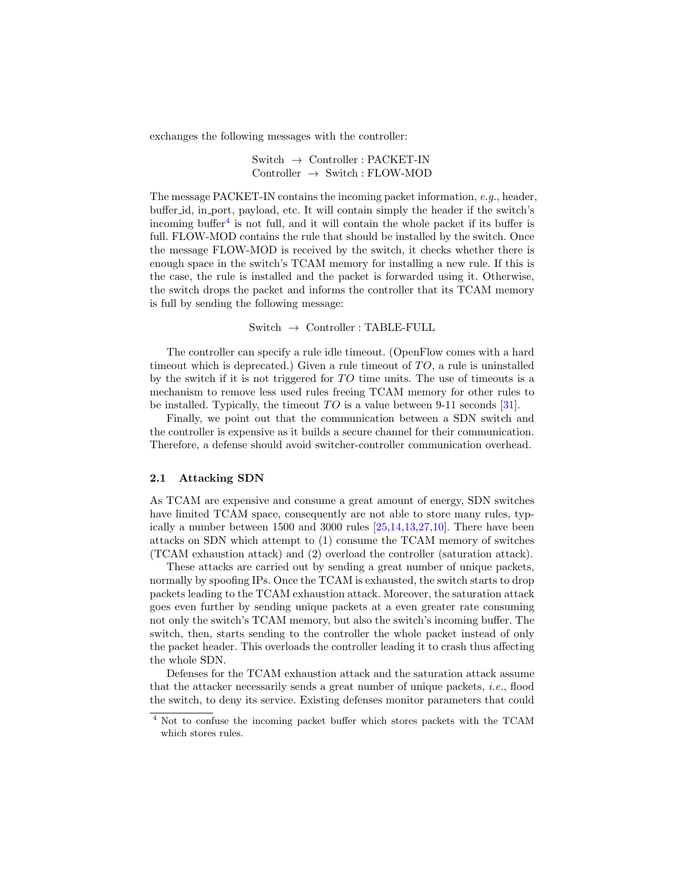exchanges the following messages with the controller:

 $Switch \rightarrow Controler : PACKET-IN$  $Controller \rightarrow Switch : FLOW-MOD$ 

The message PACKET-IN contains the incoming packet information, e.g., header, buffer id, in port, payload, etc. It will contain simply the header if the switch's incoming buffer4 is not full, and it will contain the whole packet if its buffer is full. FLOW-MOD contains the rule that should be installed by the switch. Once the message FLOW-MOD is received by the switch, it checks whether there is enough space in the switch's TCAM memory for installing a new rule. If this is the case, the rule is installed and the packet is forwarded using it. Otherwise, the switch drops the packet and informs the controller that its TCAM memory is full by sending the following message:

 $Switch \rightarrow Controler : TABLE-FULL$ 

The controller can specify a rule idle timeout. (OpenFlow comes with a hard timeout which is deprecated.) Given a rule timeout of  $TO$ , a rule is uninstalled by the switch if it is not triggered for  $TO$  time units. The use of timeouts is a mechanism to remove less used rules freeing TCAM memory for other rules to be installed. Typically, the timeout  $TO$  is a value between 9-11 seconds [31].

Finally, we point out that the communication between a SDN switch and the controller is expensive as it builds a secure channel for their communication. Therefore, a defense should avoid switcher-controller communication overhead.

#### 2.1 Attacking SDN

As TCAM are expensive and consume a great amount of energy, SDN switches have limited TCAM space, consequently are not able to store many rules, typically a number between 1500 and 3000 rules [25,14,13,27,10]. There have been attacks on SDN which attempt to (1) consume the TCAM memory of switches (TCAM exhaustion attack) and (2) overload the controller (saturation attack).

These attacks are carried out by sending a great number of unique packets, normally by spoofing IPs. Once the TCAM is exhausted, the switch starts to drop packets leading to the TCAM exhaustion attack. Moreover, the saturation attack goes even further by sending unique packets at a even greater rate consuming not only the switch's TCAM memory, but also the switch's incoming buffer. The switch, then, starts sending to the controller the whole packet instead of only the packet header. This overloads the controller leading it to crash thus affecting the whole SDN.

Defenses for the TCAM exhaustion attack and the saturation attack assume that the attacker necessarily sends a great number of unique packets, i.e., flood the switch, to deny its service. Existing defenses monitor parameters that could

<sup>4</sup> Not to confuse the incoming packet buffer which stores packets with the TCAM which stores rules.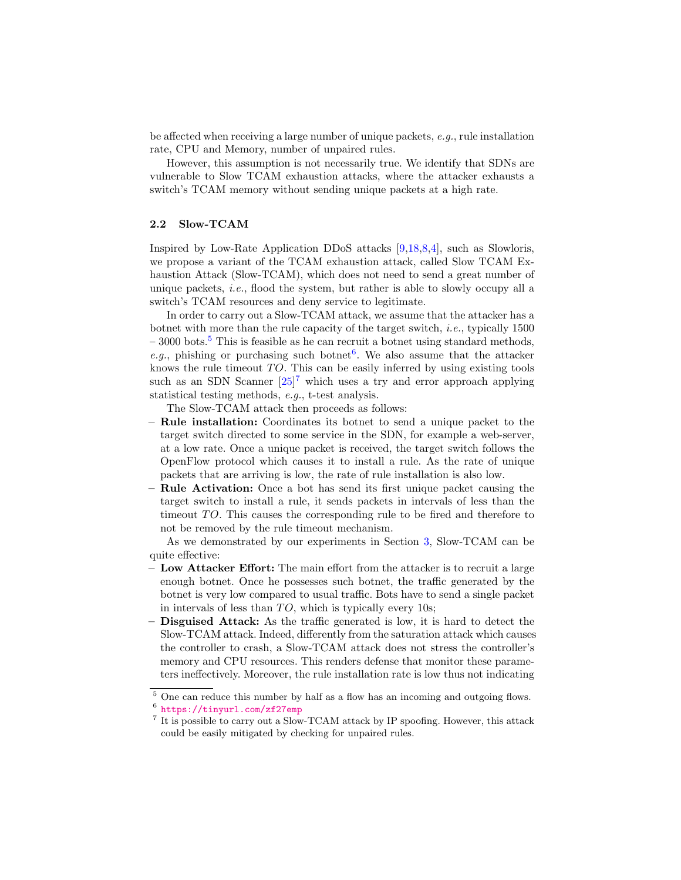be affected when receiving a large number of unique packets, e.g., rule installation rate, CPU and Memory, number of unpaired rules.

However, this assumption is not necessarily true. We identify that SDNs are vulnerable to Slow TCAM exhaustion attacks, where the attacker exhausts a switch's TCAM memory without sending unique packets at a high rate.

#### 2.2 Slow-TCAM

Inspired by Low-Rate Application DDoS attacks [9,18,8,4], such as Slowloris, we propose a variant of the TCAM exhaustion attack, called Slow TCAM Exhaustion Attack (Slow-TCAM), which does not need to send a great number of unique packets, i.e., flood the system, but rather is able to slowly occupy all a switch's TCAM resources and deny service to legitimate.

In order to carry out a Slow-TCAM attack, we assume that the attacker has a botnet with more than the rule capacity of the target switch, *i.e.*, typically  $1500$  $-3000$  bots.<sup>5</sup> This is feasible as he can recruit a botnet using standard methods, e.g., phishing or purchasing such botnet<sup>6</sup>. We also assume that the attacker knows the rule timeout  $TO$ . This can be easily inferred by using existing tools such as an SDN Scanner  $[25]^7$  which uses a try and error approach applying statistical testing methods, e.g., t-test analysis.

The Slow-TCAM attack then proceeds as follows:

- Rule installation: Coordinates its botnet to send a unique packet to the target switch directed to some service in the SDN, for example a web-server, at a low rate. Once a unique packet is received, the target switch follows the OpenFlow protocol which causes it to install a rule. As the rate of unique packets that are arriving is low, the rate of rule installation is also low.
- Rule Activation: Once a bot has send its first unique packet causing the target switch to install a rule, it sends packets in intervals of less than the timeout  $TO$ . This causes the corresponding rule to be fired and therefore to not be removed by the rule timeout mechanism.

As we demonstrated by our experiments in Section 3, Slow-TCAM can be quite effective:

- Low Attacker Effort: The main effort from the attacker is to recruit a large enough botnet. Once he possesses such botnet, the traffic generated by the botnet is very low compared to usual traffic. Bots have to send a single packet in intervals of less than  $TO$ , which is typically every 10s;
- Disguised Attack: As the traffic generated is low, it is hard to detect the Slow-TCAM attack. Indeed, differently from the saturation attack which causes the controller to crash, a Slow-TCAM attack does not stress the controller's memory and CPU resources. This renders defense that monitor these parameters ineffectively. Moreover, the rule installation rate is low thus not indicating

<sup>&</sup>lt;sup>5</sup> One can reduce this number by half as a flow has an incoming and outgoing flows.

<sup>6</sup> <https://tinyurl.com/zf27emp>

<sup>&</sup>lt;sup>7</sup> It is possible to carry out a Slow-TCAM attack by IP spoofing. However, this attack could be easily mitigated by checking for unpaired rules.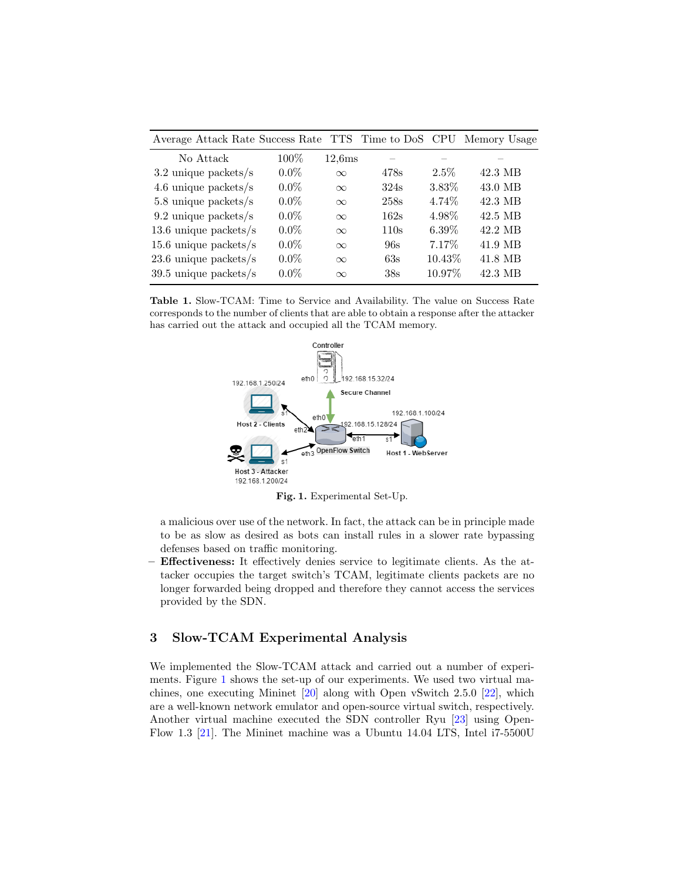| Average Attack Rate Success Rate |         |                    |      |          | TTS Time to DoS CPU Memory Usage |
|----------------------------------|---------|--------------------|------|----------|----------------------------------|
| No Attack                        | $100\%$ | 12.6 <sub>ms</sub> |      |          |                                  |
| $3.2$ unique packets/s           | $0.0\%$ | $\infty$           | 478s | $2.5\%$  | 42.3 MB                          |
| $4.6$ unique packets/s           | $0.0\%$ | $\infty$           | 324s | 3.83%    | 43.0 MB                          |
| $5.8$ unique packets/s           | $0.0\%$ | $\infty$           | 258s | 4.74%    | 42.3 MB                          |
| $9.2$ unique packets/s           | $0.0\%$ | $\infty$           | 162s | 4.98%    | 42.5 MB                          |
| 13.6 unique packets/ $s$         | $0.0\%$ | $\infty$           | 110s | $6.39\%$ | 42.2 MB                          |
| 15.6 unique packets/ $s$         | $0.0\%$ | $\infty$           | 96s  | 7.17%    | 41.9 MB                          |
| $23.6$ unique packets/s          | $0.0\%$ | $\infty$           | 63s  | 10.43\%  | 41.8 MB                          |
| $39.5$ unique packets/s          | $0.0\%$ | $\infty$           | 38s  | 10.97\%  | 42.3 MB                          |

Table 1. Slow-TCAM: Time to Service and Availability. The value on Success Rate corresponds to the number of clients that are able to obtain a response after the attacker has carried out the attack and occupied all the TCAM memory.



Fig. 1. Experimental Set-Up.

a malicious over use of the network. In fact, the attack can be in principle made to be as slow as desired as bots can install rules in a slower rate bypassing defenses based on traffic monitoring.

– Effectiveness: It effectively denies service to legitimate clients. As the attacker occupies the target switch's TCAM, legitimate clients packets are no longer forwarded being dropped and therefore they cannot access the services provided by the SDN.

## 3 Slow-TCAM Experimental Analysis

We implemented the Slow-TCAM attack and carried out a number of experiments. Figure 1 shows the set-up of our experiments. We used two virtual machines, one executing Mininet [20] along with Open vSwitch 2.5.0 [22], which are a well-known network emulator and open-source virtual switch, respectively. Another virtual machine executed the SDN controller Ryu [23] using Open-Flow 1.3 [21]. The Mininet machine was a Ubuntu 14.04 LTS, Intel i7-5500U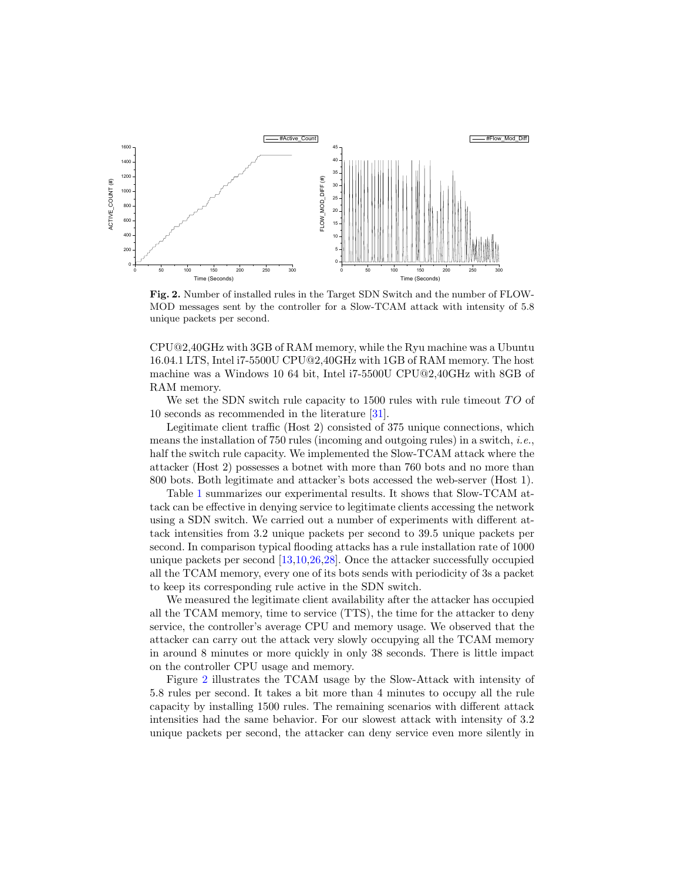

Fig. 2. Number of installed rules in the Target SDN Switch and the number of FLOW-MOD messages sent by the controller for a Slow-TCAM attack with intensity of 5.8 unique packets per second.

CPU@2,40GHz with 3GB of RAM memory, while the Ryu machine was a Ubuntu 16.04.1 LTS, Intel i7-5500U CPU@2,40GHz with 1GB of RAM memory. The host machine was a Windows 10 64 bit, Intel i7-5500U CPU@2,40GHz with 8GB of RAM memory.

We set the SDN switch rule capacity to 1500 rules with rule timeout  $TO$  of 10 seconds as recommended in the literature [31].

Legitimate client traffic (Host 2) consisted of 375 unique connections, which means the installation of 750 rules (incoming and outgoing rules) in a switch, i.e., half the switch rule capacity. We implemented the Slow-TCAM attack where the attacker (Host 2) possesses a botnet with more than 760 bots and no more than 800 bots. Both legitimate and attacker's bots accessed the web-server (Host 1).

Table 1 summarizes our experimental results. It shows that Slow-TCAM attack can be effective in denying service to legitimate clients accessing the network using a SDN switch. We carried out a number of experiments with different attack intensities from 3.2 unique packets per second to 39.5 unique packets per second. In comparison typical flooding attacks has a rule installation rate of 1000 unique packets per second [13,10,26,28]. Once the attacker successfully occupied all the TCAM memory, every one of its bots sends with periodicity of 3s a packet to keep its corresponding rule active in the SDN switch.

We measured the legitimate client availability after the attacker has occupied all the TCAM memory, time to service (TTS), the time for the attacker to deny service, the controller's average CPU and memory usage. We observed that the attacker can carry out the attack very slowly occupying all the TCAM memory in around 8 minutes or more quickly in only 38 seconds. There is little impact on the controller CPU usage and memory.

Figure 2 illustrates the TCAM usage by the Slow-Attack with intensity of 5.8 rules per second. It takes a bit more than 4 minutes to occupy all the rule capacity by installing 1500 rules. The remaining scenarios with different attack intensities had the same behavior. For our slowest attack with intensity of 3.2 unique packets per second, the attacker can deny service even more silently in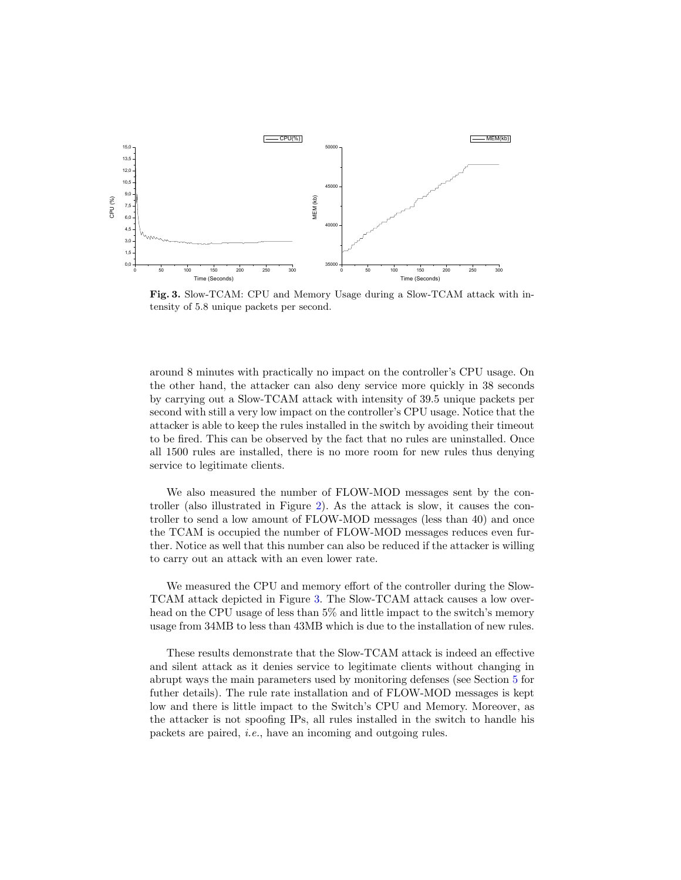

Fig. 3. Slow-TCAM: CPU and Memory Usage during a Slow-TCAM attack with intensity of 5.8 unique packets per second.

around 8 minutes with practically no impact on the controller's CPU usage. On the other hand, the attacker can also deny service more quickly in 38 seconds by carrying out a Slow-TCAM attack with intensity of 39.5 unique packets per second with still a very low impact on the controller's CPU usage. Notice that the attacker is able to keep the rules installed in the switch by avoiding their timeout to be fired. This can be observed by the fact that no rules are uninstalled. Once all 1500 rules are installed, there is no more room for new rules thus denying service to legitimate clients.

We also measured the number of FLOW-MOD messages sent by the controller (also illustrated in Figure 2). As the attack is slow, it causes the controller to send a low amount of FLOW-MOD messages (less than 40) and once the TCAM is occupied the number of FLOW-MOD messages reduces even further. Notice as well that this number can also be reduced if the attacker is willing to carry out an attack with an even lower rate.

We measured the CPU and memory effort of the controller during the Slow-TCAM attack depicted in Figure 3. The Slow-TCAM attack causes a low overhead on the CPU usage of less than  $5\%$  and little impact to the switch's memory usage from 34MB to less than 43MB which is due to the installation of new rules.

These results demonstrate that the Slow-TCAM attack is indeed an effective and silent attack as it denies service to legitimate clients without changing in abrupt ways the main parameters used by monitoring defenses (see Section 5 for futher details). The rule rate installation and of FLOW-MOD messages is kept low and there is little impact to the Switch's CPU and Memory. Moreover, as the attacker is not spoofing IPs, all rules installed in the switch to handle his packets are paired, i.e., have an incoming and outgoing rules.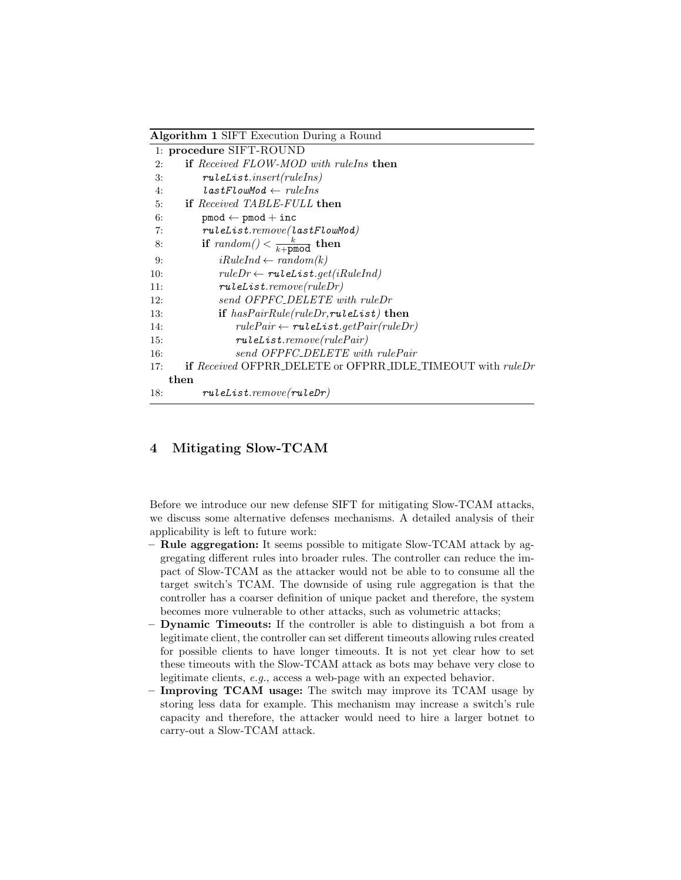|     | <b>Algorithm 1 SIFT Execution During a Round</b>                  |
|-----|-------------------------------------------------------------------|
|     | 1: procedure SIFT-ROUND                                           |
| 2:  | <b>if</b> Received FLOW-MOD with ruleIns <b>then</b>              |
| 3:  | ruleList.insert(ruleIns)                                          |
| 4:  | $lastFlowMod \leftarrow ruleIns$                                  |
| 5:  | <b>if</b> Received TABLE-FULL then                                |
| 6:  | $pmod \leftarrow pmod + inc$                                      |
| 7:  | ruleList.remove(lastFlowMod)                                      |
| 8:  | if $random() < \frac{k}{k + \text{pmod}}$ then                    |
| 9:  | $iRuleInd \leftarrow random(k)$                                   |
| 10: | $ruleDr \leftarrow ruleList.get(iRuleInd)$                        |
| 11: | ruleDir                                                           |
| 12: | send OFPFC_DELETE with ruleDr                                     |
| 13: | if $hasPairRule(ruleDr, ruleList)$ then                           |
| 14: | $rulePair \leftarrow ruleList.getPair(ruleDr)$                    |
| 15: | rulePair                                                          |
| 16: | send OFPFC DELETE with rulePair                                   |
| 17: | <b>if</b> Received OFPRR DELETE or OFPRR IDLE TIMEOUT with ruleDr |
|     | then                                                              |
| 18: | ruleList.remove(ruleDr)                                           |

# 4 Mitigating Slow-TCAM

Before we introduce our new defense SIFT for mitigating Slow-TCAM attacks, we discuss some alternative defenses mechanisms. A detailed analysis of their applicability is left to future work:

- Rule aggregation: It seems possible to mitigate Slow-TCAM attack by aggregating different rules into broader rules. The controller can reduce the impact of Slow-TCAM as the attacker would not be able to to consume all the target switch's TCAM. The downside of using rule aggregation is that the controller has a coarser definition of unique packet and therefore, the system becomes more vulnerable to other attacks, such as volumetric attacks;
- Dynamic Timeouts: If the controller is able to distinguish a bot from a legitimate client, the controller can set different timeouts allowing rules created for possible clients to have longer timeouts. It is not yet clear how to set these timeouts with the Slow-TCAM attack as bots may behave very close to legitimate clients, e.g., access a web-page with an expected behavior.
- Improving TCAM usage: The switch may improve its TCAM usage by storing less data for example. This mechanism may increase a switch's rule capacity and therefore, the attacker would need to hire a larger botnet to carry-out a Slow-TCAM attack.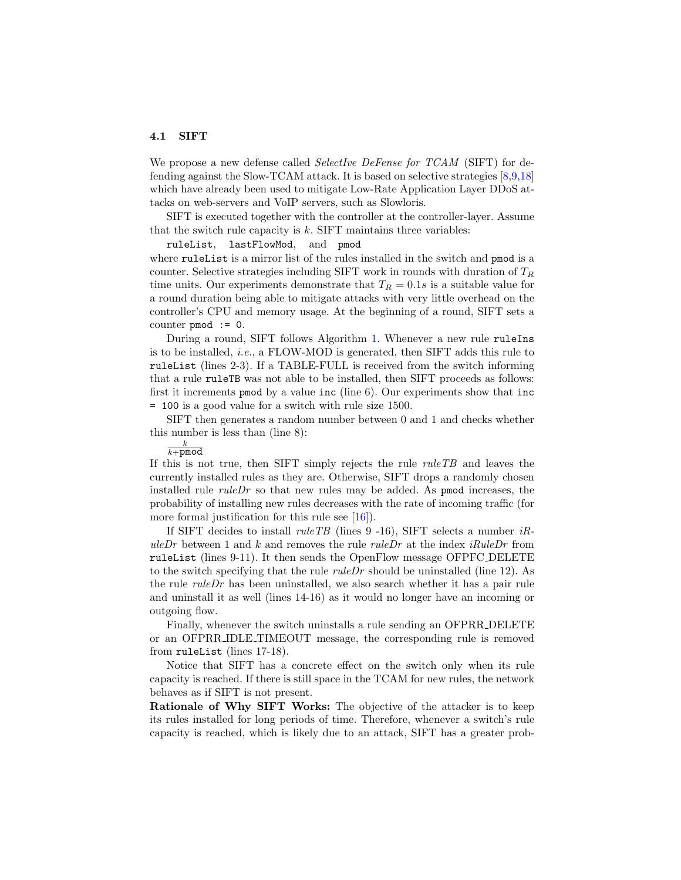#### 4.1 SIFT

We propose a new defense called *SelectIve DeFense for TCAM* (SIFT) for defending against the Slow-TCAM attack. It is based on selective strategies [8,9,18] which have already been used to mitigate Low-Rate Application Layer DDoS attacks on web-servers and VoIP servers, such as Slowloris.

SIFT is executed together with the controller at the controller-layer. Assume that the switch rule capacity is  $k$ . SIFT maintains three variables:

ruleList, lastFlowMod, and pmod

where ruleList is a mirror list of the rules installed in the switch and pmod is a counter. Selective strategies including SIFT work in rounds with duration of  $T_R$ time units. Our experiments demonstrate that  $T_R = 0.1s$  is a suitable value for a round duration being able to mitigate attacks with very little overhead on the controller's CPU and memory usage. At the beginning of a round, SIFT sets a counter  $pmod := 0$ .

During a round, SIFT follows Algorithm 1. Whenever a new rule ruleIns is to be installed, i.e., a FLOW-MOD is generated, then SIFT adds this rule to ruleList (lines 2-3). If a TABLE-FULL is received from the switch informing that a rule ruleTB was not able to be installed, then SIFT proceeds as follows: first it increments pmod by a value inc (line 6). Our experiments show that inc = 100 is a good value for a switch with rule size 1500.

SIFT then generates a random number between 0 and 1 and checks whether this number is less than (line 8):

 $\frac{k}{k+\texttt{pmod}}$ 

If this is not true, then SIFT simply rejects the rule  $ruleTB$  and leaves the currently installed rules as they are. Otherwise, SIFT drops a randomly chosen installed rule *ruleDr* so that new rules may be added. As pmod increases, the probability of installing new rules decreases with the rate of incoming traffic (for more formal justification for this rule see  $[16]$ .

If SIFT decides to install  $ruleTB$  (lines 9 -16), SIFT selects a number  $iR$ uleDr between 1 and k and removes the rule ruleDr at the index  $iRuleDr$  from ruleList (lines 9-11). It then sends the OpenFlow message OFPFC DELETE to the switch specifying that the rule  $ruleDr$  should be uninstalled (line 12). As the rule *ruleDr* has been uninstalled, we also search whether it has a pair rule and uninstall it as well (lines 14-16) as it would no longer have an incoming or outgoing flow.

Finally, whenever the switch uninstalls a rule sending an OFPRR DELETE or an OFPRR IDLE TIMEOUT message, the corresponding rule is removed from ruleList (lines 17-18).

Notice that SIFT has a concrete effect on the switch only when its rule capacity is reached. If there is still space in the TCAM for new rules, the network behaves as if SIFT is not present.

Rationale of Why SIFT Works: The objective of the attacker is to keep its rules installed for long periods of time. Therefore, whenever a switch's rule capacity is reached, which is likely due to an attack, SIFT has a greater prob-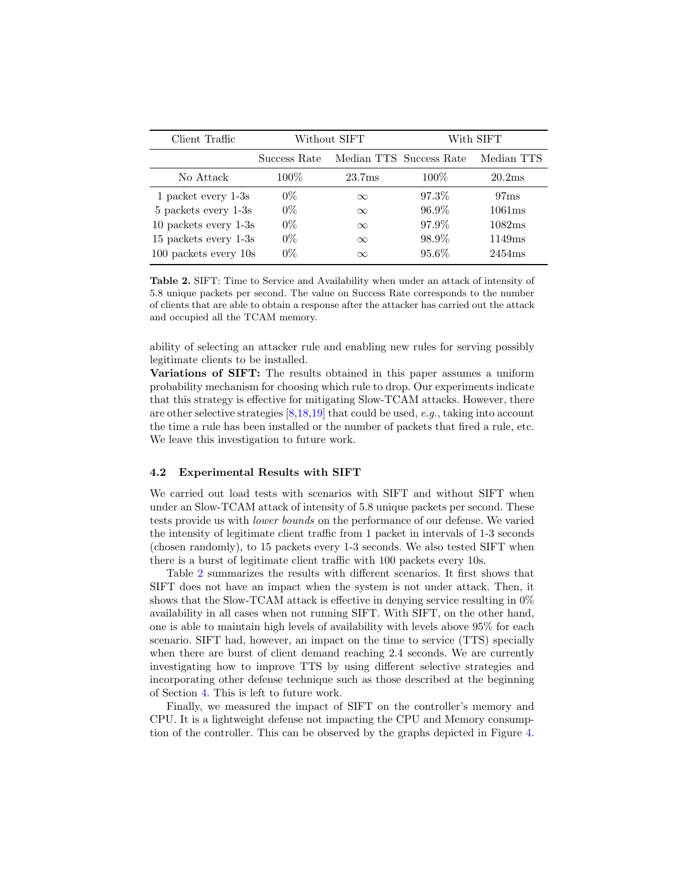| Client Traffic            | Without SIFT |                    | With SIFT               |                    |
|---------------------------|--------------|--------------------|-------------------------|--------------------|
|                           | Success Rate |                    | Median TTS Success Rate | Median TTS         |
| No Attack                 | $100\%$      | 23.7 <sub>ms</sub> | $100\%$                 | 20.2ms             |
| $1$ packet every $1-3s$   | $0\%$        | $\infty$           | 97.3%                   | 97ms               |
| 5 packets every 1-3s      | $0\%$        | $\infty$           | $96.9\%$                | $1061 \text{ms}$   |
| $10$ packets every $1-3s$ | $0\%$        | $\infty$           | 97.9%                   | 1082ms             |
| 15 packets every 1-3s     | $0\%$        | $\infty$           | 98.9%                   | 1149ms             |
| $100$ packets every $10s$ | $0\%$        | $\infty$           | $95.6\%$                | 2454 <sub>ms</sub> |

Table 2. SIFT: Time to Service and Availability when under an attack of intensity of 5.8 unique packets per second. The value on Success Rate corresponds to the number of clients that are able to obtain a response after the attacker has carried out the attack and occupied all the TCAM memory.

ability of selecting an attacker rule and enabling new rules for serving possibly legitimate clients to be installed.

Variations of SIFT: The results obtained in this paper assumes a uniform probability mechanism for choosing which rule to drop. Our experiments indicate that this strategy is effective for mitigating Slow-TCAM attacks. However, there are other selective strategies [8,18,19] that could be used, e.g., taking into account the time a rule has been installed or the number of packets that fired a rule, etc. We leave this investigation to future work.

#### 4.2 Experimental Results with SIFT

We carried out load tests with scenarios with SIFT and without SIFT when under an Slow-TCAM attack of intensity of 5.8 unique packets per second. These tests provide us with lower bounds on the performance of our defense. We varied the intensity of legitimate client traffic from 1 packet in intervals of 1-3 seconds (chosen randomly), to 15 packets every 1-3 seconds. We also tested SIFT when there is a burst of legitimate client traffic with 100 packets every 10s.

Table 2 summarizes the results with different scenarios. It first shows that SIFT does not have an impact when the system is not under attack. Then, it shows that the Slow-TCAM attack is effective in denying service resulting in 0% availability in all cases when not running SIFT. With SIFT, on the other hand, one is able to maintain high levels of availability with levels above 95% for each scenario. SIFT had, however, an impact on the time to service (TTS) specially when there are burst of client demand reaching 2.4 seconds. We are currently investigating how to improve TTS by using different selective strategies and incorporating other defense technique such as those described at the beginning of Section 4. This is left to future work.

Finally, we measured the impact of SIFT on the controller's memory and CPU. It is a lightweight defense not impacting the CPU and Memory consumption of the controller. This can be observed by the graphs depicted in Figure 4.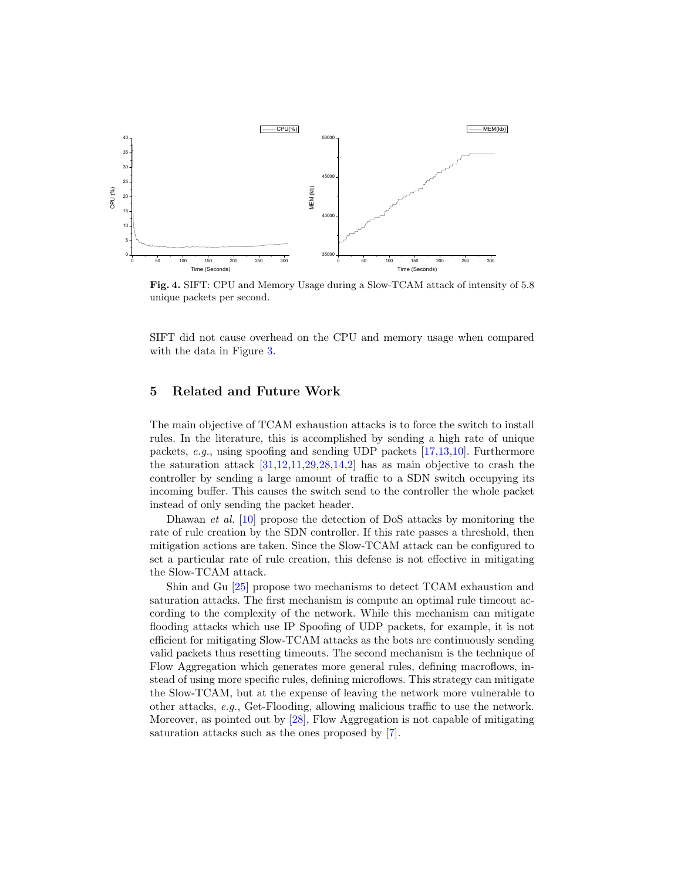

Fig. 4. SIFT: CPU and Memory Usage during a Slow-TCAM attack of intensity of 5.8 unique packets per second.

SIFT did not cause overhead on the CPU and memory usage when compared with the data in Figure 3.

### 5 Related and Future Work

The main objective of TCAM exhaustion attacks is to force the switch to install rules. In the literature, this is accomplished by sending a high rate of unique packets, e.g., using spoofing and sending UDP packets [17,13,10]. Furthermore the saturation attack  $[31,12,11,29,28,14,2]$  has as main objective to crash the controller by sending a large amount of traffic to a SDN switch occupying its incoming buffer. This causes the switch send to the controller the whole packet instead of only sending the packet header.

Dhawan et al. [10] propose the detection of DoS attacks by monitoring the rate of rule creation by the SDN controller. If this rate passes a threshold, then mitigation actions are taken. Since the Slow-TCAM attack can be configured to set a particular rate of rule creation, this defense is not effective in mitigating the Slow-TCAM attack.

Shin and Gu [25] propose two mechanisms to detect TCAM exhaustion and saturation attacks. The first mechanism is compute an optimal rule timeout according to the complexity of the network. While this mechanism can mitigate flooding attacks which use IP Spoofing of UDP packets, for example, it is not efficient for mitigating Slow-TCAM attacks as the bots are continuously sending valid packets thus resetting timeouts. The second mechanism is the technique of Flow Aggregation which generates more general rules, defining macroflows, instead of using more specific rules, defining microflows. This strategy can mitigate the Slow-TCAM, but at the expense of leaving the network more vulnerable to other attacks, e.g., Get-Flooding, allowing malicious traffic to use the network. Moreover, as pointed out by [28], Flow Aggregation is not capable of mitigating saturation attacks such as the ones proposed by [7].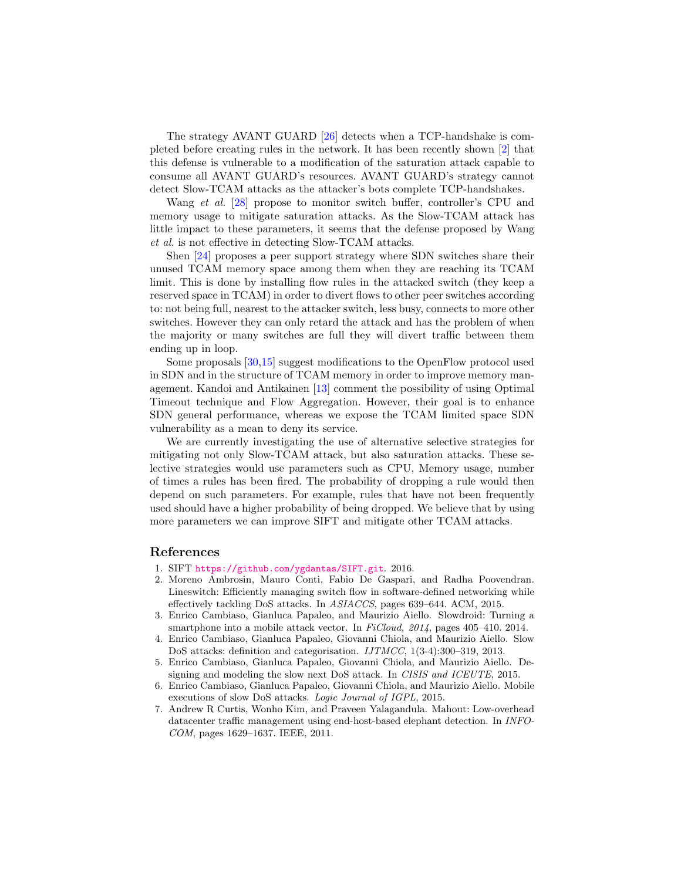The strategy AVANT GUARD [26] detects when a TCP-handshake is completed before creating rules in the network. It has been recently shown [2] that this defense is vulnerable to a modification of the saturation attack capable to consume all AVANT GUARD's resources. AVANT GUARD's strategy cannot detect Slow-TCAM attacks as the attacker's bots complete TCP-handshakes.

Wang et al. [28] propose to monitor switch buffer, controller's CPU and memory usage to mitigate saturation attacks. As the Slow-TCAM attack has little impact to these parameters, it seems that the defense proposed by Wang et al. is not effective in detecting Slow-TCAM attacks.

Shen [24] proposes a peer support strategy where SDN switches share their unused TCAM memory space among them when they are reaching its TCAM limit. This is done by installing flow rules in the attacked switch (they keep a reserved space in TCAM) in order to divert flows to other peer switches according to: not being full, nearest to the attacker switch, less busy, connects to more other switches. However they can only retard the attack and has the problem of when the majority or many switches are full they will divert traffic between them ending up in loop.

Some proposals [30,15] suggest modifications to the OpenFlow protocol used in SDN and in the structure of TCAM memory in order to improve memory management. Kandoi and Antikainen [13] comment the possibility of using Optimal Timeout technique and Flow Aggregation. However, their goal is to enhance SDN general performance, whereas we expose the TCAM limited space SDN vulnerability as a mean to deny its service.

We are currently investigating the use of alternative selective strategies for mitigating not only Slow-TCAM attack, but also saturation attacks. These selective strategies would use parameters such as CPU, Memory usage, number of times a rules has been fired. The probability of dropping a rule would then depend on such parameters. For example, rules that have not been frequently used should have a higher probability of being dropped. We believe that by using more parameters we can improve SIFT and mitigate other TCAM attacks.

#### References

- 1. SIFT <https://github.com/ygdantas/SIFT.git>. 2016.
- 2. Moreno Ambrosin, Mauro Conti, Fabio De Gaspari, and Radha Poovendran. Lineswitch: Efficiently managing switch flow in software-defined networking while effectively tackling DoS attacks. In ASIACCS, pages 639–644. ACM, 2015.
- 3. Enrico Cambiaso, Gianluca Papaleo, and Maurizio Aiello. Slowdroid: Turning a smartphone into a mobile attack vector. In FiCloud, 2014, pages 405–410. 2014.
- 4. Enrico Cambiaso, Gianluca Papaleo, Giovanni Chiola, and Maurizio Aiello. Slow DoS attacks: definition and categorisation. IJTMCC, 1(3-4):300–319, 2013.
- 5. Enrico Cambiaso, Gianluca Papaleo, Giovanni Chiola, and Maurizio Aiello. Designing and modeling the slow next DoS attack. In CISIS and ICEUTE, 2015.
- 6. Enrico Cambiaso, Gianluca Papaleo, Giovanni Chiola, and Maurizio Aiello. Mobile executions of slow DoS attacks. Logic Journal of IGPL, 2015.
- 7. Andrew R Curtis, Wonho Kim, and Praveen Yalagandula. Mahout: Low-overhead datacenter traffic management using end-host-based elephant detection. In INFO-COM, pages 1629–1637. IEEE, 2011.